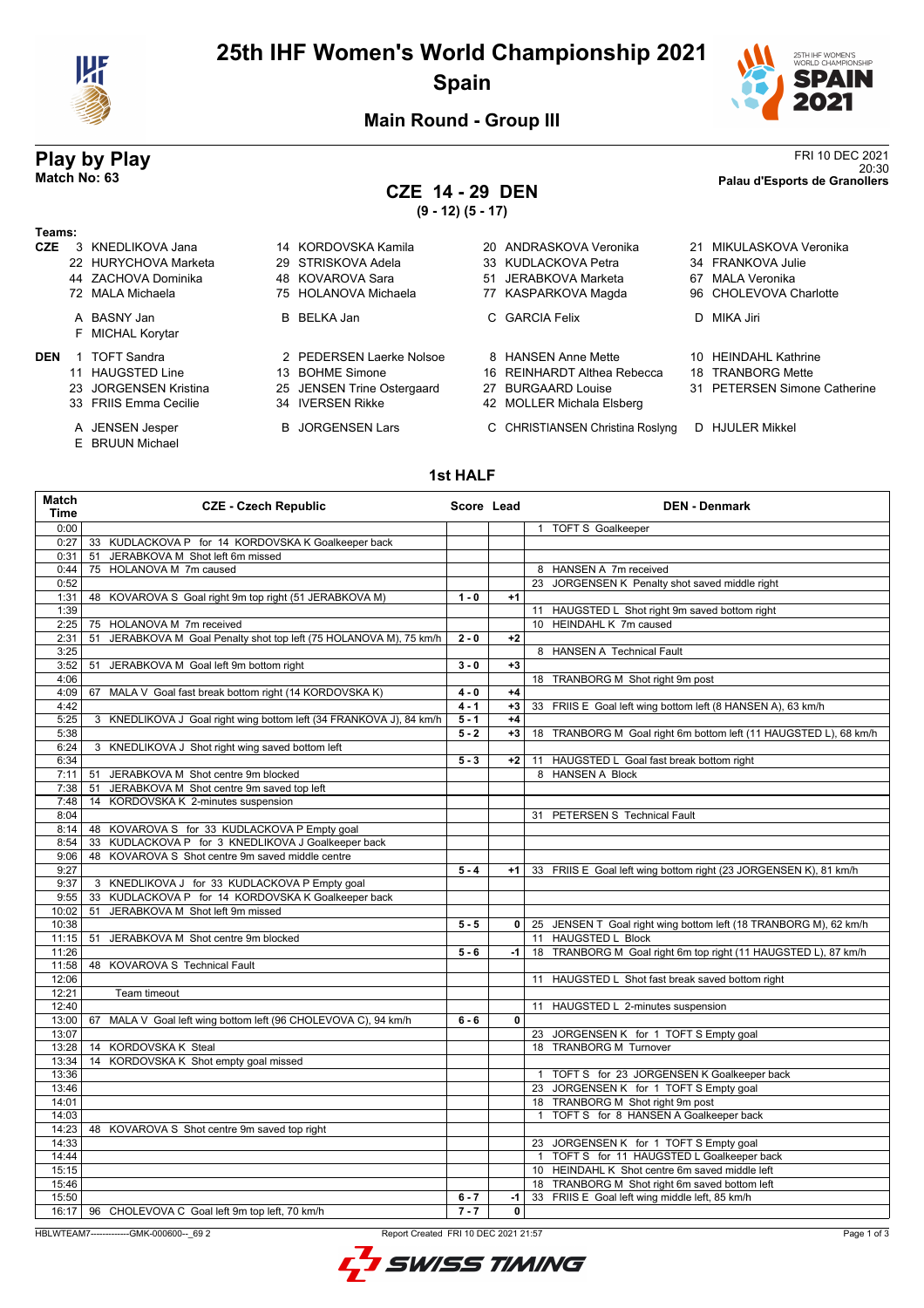

# **25th IHF Women's World Championship 2021 Spain**



### **Main Round - Group III**

# **CZE 14 - 29 DEN**

**(9 - 12) (5 - 17)**

**Play by Play**<br><sup>20:30</sup><br>Palau d'Esports de Granollers 20:30 **Match No: 63 Palau d'Esports de Granollers**

### **Teams:**

- **CZE** 3 KNEDLIKOVA Jana 14 KORDOVSKA Kamila 20 ANDRASKOVA Veronika 21 MIKULASKOVA Veronika
	-
	- F MICHAL Korytar

- 
- 23 JORGENSEN Kristina 25 JENSEN Trine Ostergaard 27 BURGAARD Louise 31 PETERSEN Simone Catherine<br>32 FRIIS Emma Cecilie 34 IVERSEN Rikke 42 MOLLER Michala Elsberg
- 
- 
- E BRUUN Michael
- 

22 HURYCHOVA Marketa 29 STRISKOVA Adela 33 KUDLACKOVA Petra 34 FRANKOVA Julie 44 ZACHOVA Dominika 48 KOVAROVA Sara 51 JERABKOVA Marketa 67 MALA Veronika 72 MALA Michaela 75 HOLANOVA Michaela 77 KASPARKOVA Magda 96 CHOLEVOVA Charlotte

- A BASNY Jan B BELKA Jan C GARCIA Felix D MIKA Jiri
- **DEN** 1 TOFT Sandra **2 PEDERSEN Laerke Nolsoe** 8 HANSEN Anne Mette 10 HEINDAHL Kathrine
	- 11 HAUGSTED Line 13 BOHME Simone 16 REINHARDT Althea Rebecca 18 TRANBORG Mette
		-
		- 34 IVERSEN Rikke 42 MOLLER Michala Elsberg
	- A JENSEN Jesper B JORGENSEN Lars C CHRISTIANSEN Christina Roslyng D HJULER Mikkel

### **1st HALF**

| Match<br><b>Time</b> | <b>CZE - Czech Republic</b>                                         | Score Lead |              | <b>DEN - Denmark</b>                                                                 |
|----------------------|---------------------------------------------------------------------|------------|--------------|--------------------------------------------------------------------------------------|
| 0:00                 |                                                                     |            |              | 1 TOFT S Goalkeeper                                                                  |
| 0:27                 | 33 KUDLACKOVA P for 14 KORDOVSKA K Goalkeeper back                  |            |              |                                                                                      |
| 0:31                 | 51 JERABKOVA M Shot left 6m missed                                  |            |              |                                                                                      |
| 0:44                 | 75 HOLANOVA M 7m caused                                             |            |              | 8 HANSEN A 7m received                                                               |
| 0:52                 |                                                                     |            |              | 23 JORGENSEN K Penalty shot saved middle right                                       |
| 1:31                 | 48 KOVAROVA S Goal right 9m top right (51 JERABKOVA M)              | $1 - 0$    | $+1$         |                                                                                      |
| 1:39                 |                                                                     |            |              | 11 HAUGSTED L Shot right 9m saved bottom right                                       |
| 2:25                 | 75 HOLANOVA M 7m received                                           |            |              | 10 HEINDAHL K 7m caused                                                              |
| 2:31                 | 51 JERABKOVA M Goal Penalty shot top left (75 HOLANOVA M), 75 km/h  | $2 - 0$    | $+2$         |                                                                                      |
| 3:25                 |                                                                     |            |              | 8 HANSEN A Technical Fault                                                           |
| 3:52                 | 51 JERABKOVA M Goal left 9m bottom right                            | $3 - 0$    | $+3$         |                                                                                      |
| 4:06                 |                                                                     |            |              | 18 TRANBORG M Shot right 9m post                                                     |
| 4:09                 | 67 MALA V Goal fast break bottom right (14 KORDOVSKA K)             | $4 - 0$    | $+4$         |                                                                                      |
| 4:42                 |                                                                     | $4 - 1$    | $+3$         | 33 FRIIS E Goal left wing bottom left (8 HANSEN A), 63 km/h                          |
| 5:25                 | 3 KNEDLIKOVA J Goal right wing bottom left (34 FRANKOVA J), 84 km/h | $5 - 1$    | $+4$         |                                                                                      |
| 5:38                 |                                                                     | $5 - 2$    | $+3$         | 18 TRANBORG M Goal right 6m bottom left (11 HAUGSTED L), 68 km/h                     |
| 6:24                 | 3 KNEDLIKOVA J Shot right wing saved bottom left                    |            |              |                                                                                      |
| 6:34                 |                                                                     | $5 - 3$    | $+2$         | 11 HAUGSTED L Goal fast break bottom right                                           |
| 7:11                 | 51 JERABKOVA M Shot centre 9m blocked                               |            |              | 8 HANSEN A Block                                                                     |
| 7:38                 | 51 JERABKOVA M Shot centre 9m saved top left                        |            |              |                                                                                      |
| 7:48                 | 14 KORDOVSKA K 2-minutes suspension                                 |            |              |                                                                                      |
| 8:04                 |                                                                     |            |              | 31 PETERSEN S Technical Fault                                                        |
| 8:14                 | 48 KOVAROVA S for 33 KUDLACKOVA P Empty goal                        |            |              |                                                                                      |
| 8:54                 | 33 KUDLACKOVA P for 3 KNEDLIKOVA J Goalkeeper back                  |            |              |                                                                                      |
| 9:06                 | 48 KOVAROVA S Shot centre 9m saved middle centre                    |            |              |                                                                                      |
| 9:27                 |                                                                     | $5 - 4$    |              | +1   33 FRIIS E Goal left wing bottom right (23 JORGENSEN K), 81 km/h                |
| 9:37                 | 3 KNEDLIKOVA J for 33 KUDLACKOVA P Empty goal                       |            |              |                                                                                      |
| 9:55                 | 33 KUDLACKOVA P for 14 KORDOVSKA K Goalkeeper back                  |            |              |                                                                                      |
| 10:02                | 51 JERABKOVA M Shot left 9m missed                                  |            |              |                                                                                      |
| 10:38                |                                                                     | $5 - 5$    |              | 0   25 JENSEN T Goal right wing bottom left (18 TRANBORG M), 62 km/h                 |
| 11:15                | 51<br>JERABKOVA M Shot centre 9m blocked                            |            |              | 11 HAUGSTED L Block                                                                  |
| 11:26                |                                                                     | $5 - 6$    | $-1$         | 18 TRANBORG M Goal right 6m top right (11 HAUGSTED L), 87 km/h                       |
| 11:58                | 48 KOVAROVA S Technical Fault                                       |            |              |                                                                                      |
| 12:06                |                                                                     |            |              | 11 HAUGSTED L Shot fast break saved bottom right                                     |
| 12:21                | Team timeout                                                        |            |              |                                                                                      |
| 12:40                |                                                                     |            |              | 11 HAUGSTED L 2-minutes suspension                                                   |
| 13:00                | 67 MALA V Goal left wing bottom left (96 CHOLEVOVA C), 94 km/h      | $6 - 6$    | 0            |                                                                                      |
| 13:07                |                                                                     |            |              | 23 JORGENSEN K for 1 TOFT S Empty goal                                               |
| 13:28                | 14 KORDOVSKA K Steal                                                |            |              | 18 TRANBORG M Turnover                                                               |
| 13:34                | 14 KORDOVSKA K Shot empty goal missed                               |            |              |                                                                                      |
| 13:36                |                                                                     |            |              | 1 TOFT S for 23 JORGENSEN K Goalkeeper back                                          |
| 13:46                |                                                                     |            |              | 23 JORGENSEN K for 1 TOFT S Empty goal                                               |
| 14:01                |                                                                     |            |              | 18 TRANBORG M Shot right 9m post                                                     |
| 14:03                |                                                                     |            |              | TOFT S for 8 HANSEN A Goalkeeper back<br>$\mathbf{1}$                                |
| 14:23                | 48 KOVAROVA S Shot centre 9m saved top right                        |            |              |                                                                                      |
| 14:33                |                                                                     |            |              |                                                                                      |
| 14:44                |                                                                     |            |              | 23 JORGENSEN K for 1 TOFT S Empty goal<br>1 TOFT S for 11 HAUGSTED L Goalkeeper back |
| 15:15                |                                                                     |            |              |                                                                                      |
|                      |                                                                     |            |              | 10 HEINDAHL K Shot centre 6m saved middle left                                       |
| 15:46                |                                                                     |            |              | 18 TRANBORG M Shot right 6m saved bottom left                                        |
| 15:50                |                                                                     | $6 - 7$    | -1 l         | 33 FRIIS E Goal left wing middle left, 85 km/h                                       |
|                      | 16:17   96 CHOLEVOVA C Goal left 9m top left, 70 km/h               | $7 - 7$    | $\mathbf{0}$ |                                                                                      |

HBLWTEAM7-------------GMK-000600--\_69 2 Report Created FRI 10 DEC 2021 21:57

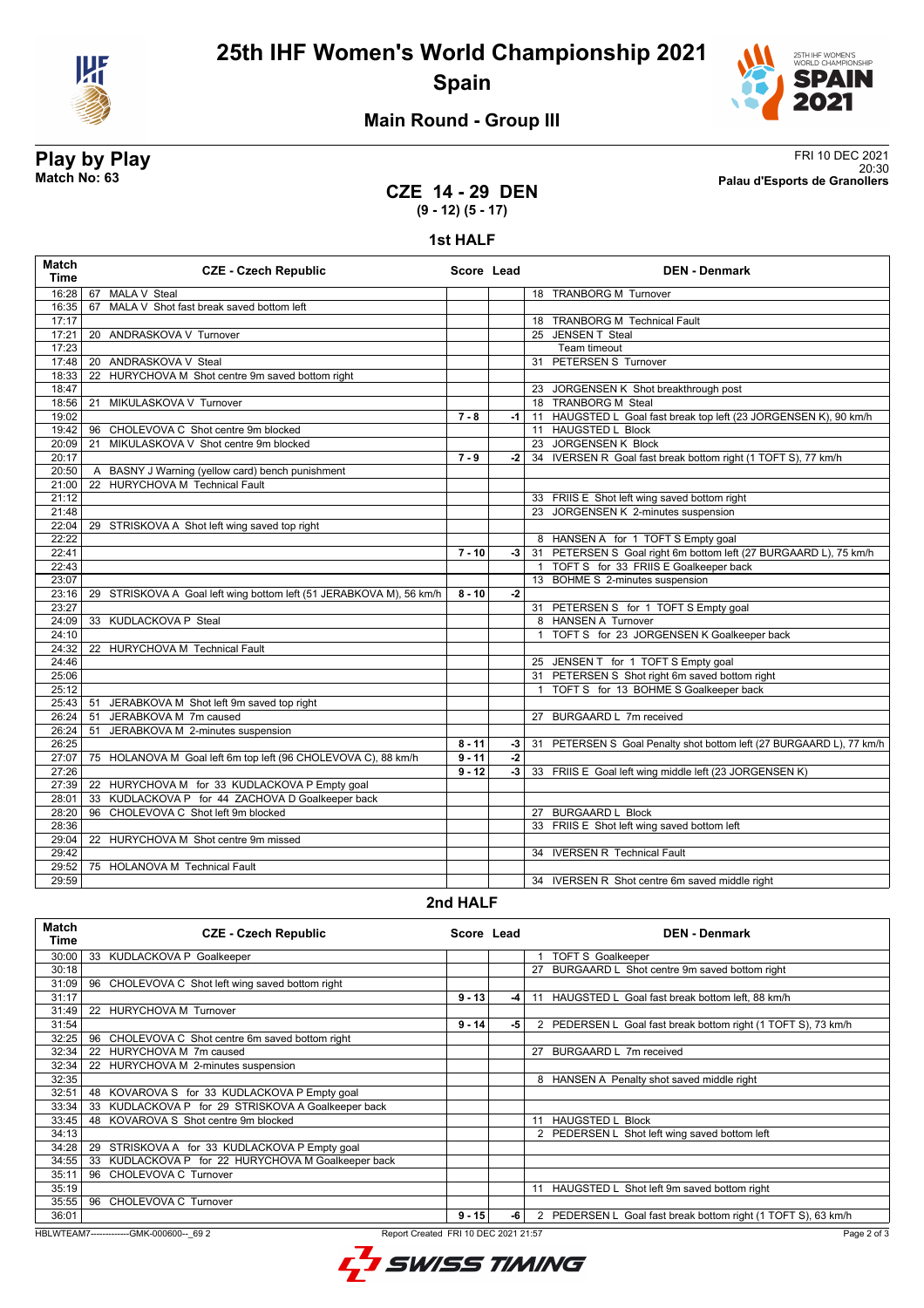

**25th IHF Women's World Championship 2021 Spain**



## **Main Round - Group III**

**Play by Play**<br>Match No: 63<br>Palau d'Esports de Granollers 20:30 **Match No: 63 Palau d'Esports de Granollers**

### **CZE 14 - 29 DEN (9 - 12) (5 - 17)**

### **1st HALF**

| <b>Match</b><br><b>Time</b> | <b>CZE - Czech Republic</b>                                         | Score Lead |      |              | <b>DEN - Denmark</b>                                                 |
|-----------------------------|---------------------------------------------------------------------|------------|------|--------------|----------------------------------------------------------------------|
| 16:28                       | MALA V Steal<br>67                                                  |            |      |              | 18 TRANBORG M Turnover                                               |
| 16:35                       | MALA V Shot fast break saved bottom left<br>67                      |            |      |              |                                                                      |
| 17:17                       |                                                                     |            |      |              | 18 TRANBORG M Technical Fault                                        |
| 17:21                       | 20 ANDRASKOVA V Turnover                                            |            |      |              | 25 JENSEN T Steal                                                    |
| 17:23                       |                                                                     |            |      |              | Team timeout                                                         |
| 17:48                       | 20 ANDRASKOVA V Steal                                               |            |      |              | 31 PETERSEN S Turnover                                               |
| 18:33                       | HURYCHOVA M Shot centre 9m saved bottom right<br>22                 |            |      |              |                                                                      |
| 18:47                       |                                                                     |            |      |              | 23 JORGENSEN K Shot breakthrough post                                |
| 18:56                       | MIKULASKOVA V Turnover<br>21                                        |            |      |              | 18 TRANBORG M Steal                                                  |
| 19:02                       |                                                                     | $7 - 8$    | -1   |              | 11 HAUGSTED L Goal fast break top left (23 JORGENSEN K), 90 km/h     |
| 19:42                       | CHOLEVOVA C Shot centre 9m blocked<br>96                            |            |      |              | 11 HAUGSTED L Block                                                  |
| 20:09                       | MIKULASKOVA V Shot centre 9m blocked<br>21                          |            |      |              | 23 JORGENSEN K Block                                                 |
| 20:17                       |                                                                     | $7 - 9$    | $-2$ |              | 34 IVERSEN R Goal fast break bottom right (1 TOFT S), 77 km/h        |
| 20:50                       | A BASNY J Warning (yellow card) bench punishment                    |            |      |              |                                                                      |
| 21:00                       | 22 HURYCHOVA M Technical Fault                                      |            |      |              |                                                                      |
| 21:12                       |                                                                     |            |      |              | 33 FRIIS E Shot left wing saved bottom right                         |
| 21:48                       |                                                                     |            |      |              | 23 JORGENSEN K 2-minutes suspension                                  |
| 22:04                       | 29 STRISKOVA A Shot left wing saved top right                       |            |      |              |                                                                      |
| 22:22                       |                                                                     |            |      |              | 8 HANSEN A for 1 TOFT S Empty goal                                   |
| 22:41                       |                                                                     | $7 - 10$   | $-3$ |              | 31 PETERSEN S Goal right 6m bottom left (27 BURGAARD L), 75 km/h     |
| 22:43                       |                                                                     |            |      |              | 1 TOFT S for 33 FRIIS E Goalkeeper back                              |
| 23:07                       |                                                                     |            |      |              | 13 BOHME S 2-minutes suspension                                      |
| 23:16                       | 29 STRISKOVA A Goal left wing bottom left (51 JERABKOVA M), 56 km/h | $8 - 10$   | $-2$ |              |                                                                      |
| 23:27                       |                                                                     |            |      |              | 31 PETERSEN S for 1 TOFT S Empty goal                                |
| 24:09                       | 33 KUDLACKOVA P Steal                                               |            |      |              | 8 HANSEN A Turnover                                                  |
| 24:10                       |                                                                     |            |      | $\mathbf{1}$ | TOFT S for 23 JORGENSEN K Goalkeeper back                            |
| 24:32                       | 22 HURYCHOVA M Technical Fault                                      |            |      |              |                                                                      |
| 24:46                       |                                                                     |            |      |              | 25 JENSEN T for 1 TOFT S Empty goal                                  |
| 25:06                       |                                                                     |            |      |              | 31 PETERSEN S Shot right 6m saved bottom right                       |
| 25:12                       |                                                                     |            |      | $\mathbf{1}$ | TOFT S for 13 BOHME S Goalkeeper back                                |
| 25:43                       | JERABKOVA M Shot left 9m saved top right<br>51                      |            |      |              |                                                                      |
| 26:24                       | JERABKOVA M 7m caused<br>51                                         |            |      |              | 27 BURGAARD L 7m received                                            |
| 26:24                       | JERABKOVA M 2-minutes suspension<br>51                              |            |      |              |                                                                      |
| 26:25                       |                                                                     | $8 - 11$   | -3   |              | 31 PETERSEN S Goal Penalty shot bottom left (27 BURGAARD L), 77 km/h |
| 27:07                       | 75 HOLANOVA M Goal left 6m top left (96 CHOLEVOVA C), 88 km/h       | $9 - 11$   | $-2$ |              |                                                                      |
| 27:26                       |                                                                     | $9 - 12$   | $-3$ |              | 33 FRIIS E Goal left wing middle left (23 JORGENSEN K)               |
| 27:39                       | 22 HURYCHOVA M for 33 KUDLACKOVA P Empty goal                       |            |      |              |                                                                      |
| 28:01                       | 33 KUDLACKOVA P for 44 ZACHOVA D Goalkeeper back                    |            |      |              |                                                                      |
| 28:20                       | CHOLEVOVA C Shot left 9m blocked<br>96                              |            |      |              | 27 BURGAARD L Block                                                  |
| 28:36                       |                                                                     |            |      |              | 33 FRIIS E Shot left wing saved bottom left                          |
| 29:04                       | 22 HURYCHOVA M Shot centre 9m missed                                |            |      |              |                                                                      |
| 29:42                       |                                                                     |            |      |              | 34 IVERSEN R Technical Fault                                         |
| 29:52                       | 75 HOLANOVA M Technical Fault                                       |            |      |              |                                                                      |
| 29:59                       |                                                                     |            |      |              | 34 IVERSEN R Shot centre 6m saved middle right                       |

### **2nd HALF**

| <b>Match</b><br>Time                                                                            | <b>CZE - Czech Republic</b>                           | Score Lead |      |    | <b>DEN - Denmark</b>                                        |
|-------------------------------------------------------------------------------------------------|-------------------------------------------------------|------------|------|----|-------------------------------------------------------------|
| 30:00                                                                                           | 33<br>KUDLACKOVA P Goalkeeper                         |            |      |    | <b>TOFT S Goalkeeper</b>                                    |
| 30:18                                                                                           |                                                       |            |      | 27 | BURGAARD L Shot centre 9m saved bottom right                |
| 31:09                                                                                           | 96 CHOLEVOVA C Shot left wing saved bottom right      |            |      |    |                                                             |
| 31:17                                                                                           |                                                       | $9 - 13$   | -4   | 11 | HAUGSTED L Goal fast break bottom left. 88 km/h             |
| 31:49                                                                                           | 22 HURYCHOVA M Turnover                               |            |      |    |                                                             |
| 31:54                                                                                           |                                                       | $9 - 14$   | $-5$ |    | PEDERSEN L Goal fast break bottom right (1 TOFT S), 73 km/h |
| 32:25                                                                                           | CHOLEVOVA C Shot centre 6m saved bottom right<br>96   |            |      |    |                                                             |
| 32:34                                                                                           | 22 HURYCHOVA M 7m caused                              |            |      | 27 | BURGAARD L 7m received                                      |
| 32:34                                                                                           | 22 HURYCHOVA M 2-minutes suspension                   |            |      |    |                                                             |
| 32:35                                                                                           |                                                       |            |      |    | 8 HANSEN A Penalty shot saved middle right                  |
| 32:51                                                                                           | KOVAROVA S for 33 KUDLACKOVA P Empty goal<br>48       |            |      |    |                                                             |
| 33:34                                                                                           | KUDLACKOVA P for 29 STRISKOVA A Goalkeeper back<br>33 |            |      |    |                                                             |
| 33:45                                                                                           | KOVAROVA S Shot centre 9m blocked<br>48               |            |      | 11 | <b>HAUGSTED L Block</b>                                     |
| 34:13                                                                                           |                                                       |            |      |    | 2 PEDERSEN L Shot left wing saved bottom left               |
| 34:28                                                                                           | STRISKOVA A for 33 KUDLACKOVA P Empty goal<br>29      |            |      |    |                                                             |
| 34:55                                                                                           | 33 KUDLACKOVA P for 22 HURYCHOVA M Goalkeeper back    |            |      |    |                                                             |
| 35:11                                                                                           | CHOLEVOVA C Turnover<br>96                            |            |      |    |                                                             |
| 35:19                                                                                           |                                                       |            |      |    | HAUGSTED L Shot left 9m saved bottom right                  |
| 35:55                                                                                           | 96 CHOLEVOVA C Turnover                               |            |      |    |                                                             |
| 36:01                                                                                           |                                                       | $9 - 15$   | -6   | 2  | PEDERSEN L Goal fast break bottom right (1 TOFT S), 63 km/h |
| Page 2 of 3<br>HBLWTEAM7--------------GMK-000600-- 69 2<br>Report Created FRI 10 DEC 2021 21:57 |                                                       |            |      |    |                                                             |